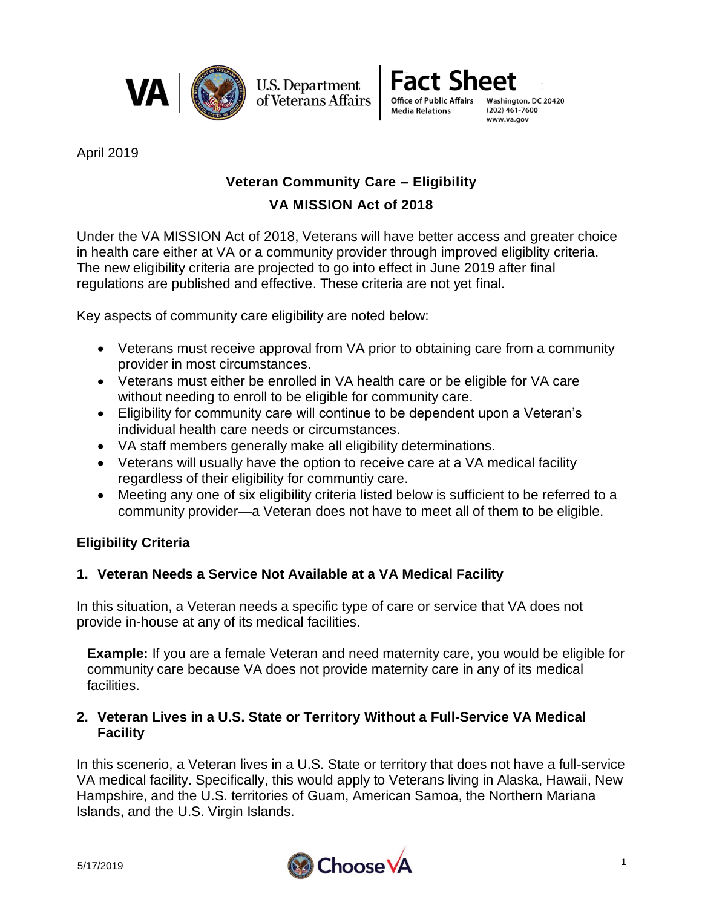



April 2019

# **Veteran Community Care – Eligibility**

## **VA MISSION Act of 2018**

Under the VA MISSION Act of 2018, Veterans will have better access and greater choice in health care either at VA or a community provider through improved eligiblity criteria. The new eligibility criteria are projected to go into effect in June 2019 after final regulations are published and effective. These criteria are not yet final.

Key aspects of community care eligibility are noted below:

- Veterans must receive approval from VA prior to obtaining care from a community provider in most circumstances.
- Veterans must either be enrolled in VA health care or be eligible for VA care without needing to enroll to be eligible for community care.
- Eligibility for community care will continue to be dependent upon a Veteran's individual health care needs or circumstances.
- VA staff members generally make all eligibility determinations.
- Veterans will usually have the option to receive care at a VA medical facility regardless of their eligibility for communtiy care.
- Meeting any one of six eligibility criteria listed below is sufficient to be referred to a community provider—a Veteran does not have to meet all of them to be eligible.

## **Eligibility Criteria**

## **1. Veteran Needs a Service Not Available at a VA Medical Facility**

In this situation, a Veteran needs a specific type of care or service that VA does not provide in-house at any of its medical facilities.

**Example:** If you are a female Veteran and need maternity care, you would be eligible for community care because VA does not provide maternity care in any of its medical facilities.

## **2. Veteran Lives in a U.S. State or Territory Without a Full-Service VA Medical Facility**

In this scenerio, a Veteran lives in a U.S. State or territory that does not have a full-service VA medical facility. Specifically, this would apply to Veterans living in Alaska, Hawaii, New Hampshire, and the U.S. territories of Guam, American Samoa, the Northern Mariana Islands, and the U.S. Virgin Islands.

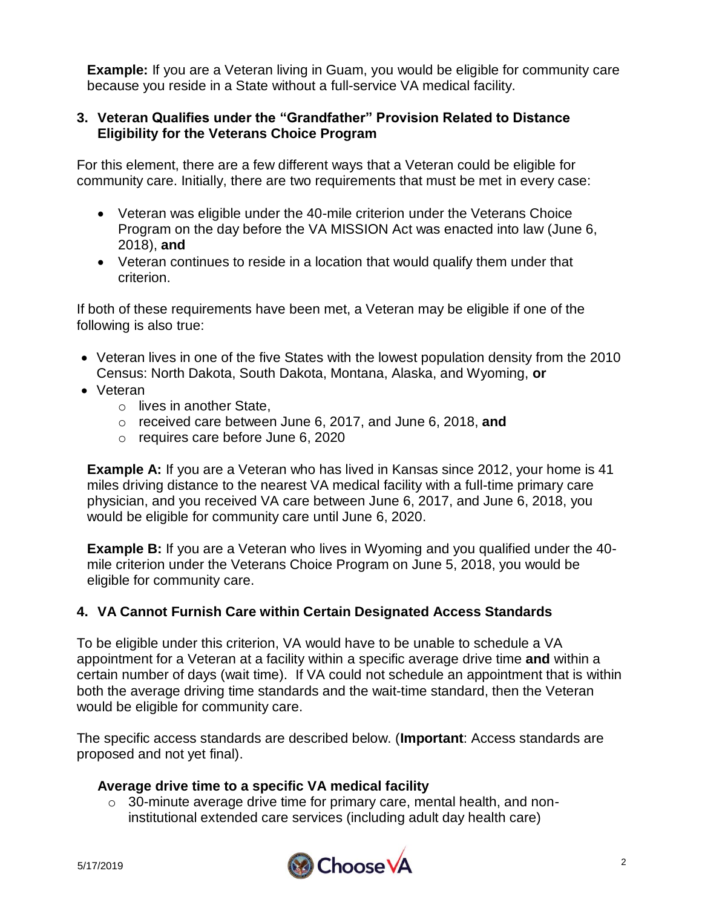**Example:** If you are a Veteran living in Guam, you would be eligible for community care because you reside in a State without a full-service VA medical facility.

### **3. Veteran Qualifies under the "Grandfather" Provision Related to Distance Eligibility for the Veterans Choice Program**

For this element, there are a few different ways that a Veteran could be eligible for community care. Initially, there are two requirements that must be met in every case:

- Veteran was eligible under the 40-mile criterion under the Veterans Choice Program on the day before the VA MISSION Act was enacted into law (June 6, 2018), **and**
- Veteran continues to reside in a location that would qualify them under that criterion.

If both of these requirements have been met, a Veteran may be eligible if one of the following is also true:

- Veteran lives in one of the five States with the lowest population density from the 2010 Census: North Dakota, South Dakota, Montana, Alaska, and Wyoming, **or**
- Veteran
	- o lives in another State,
	- o received care between June 6, 2017, and June 6, 2018, **and**
	- o requires care before June 6, 2020

**Example A:** If you are a Veteran who has lived in Kansas since 2012, your home is 41 miles driving distance to the nearest VA medical facility with a full-time primary care physician, and you received VA care between June 6, 2017, and June 6, 2018, you would be eligible for community care until June 6, 2020.

**Example B:** If you are a Veteran who lives in Wyoming and you qualified under the 40 mile criterion under the Veterans Choice Program on June 5, 2018, you would be eligible for community care.

## **4. VA Cannot Furnish Care within Certain Designated Access Standards**

To be eligible under this criterion, VA would have to be unable to schedule a VA appointment for a Veteran at a facility within a specific average drive time **and** within a certain number of days (wait time). If VA could not schedule an appointment that is within both the average driving time standards and the wait-time standard, then the Veteran would be eligible for community care.

The specific access standards are described below. (**Important**: Access standards are proposed and not yet final).

#### **Average drive time to a specific VA medical facility**

o 30-minute average drive time for primary care, mental health, and noninstitutional extended care services (including adult day health care)

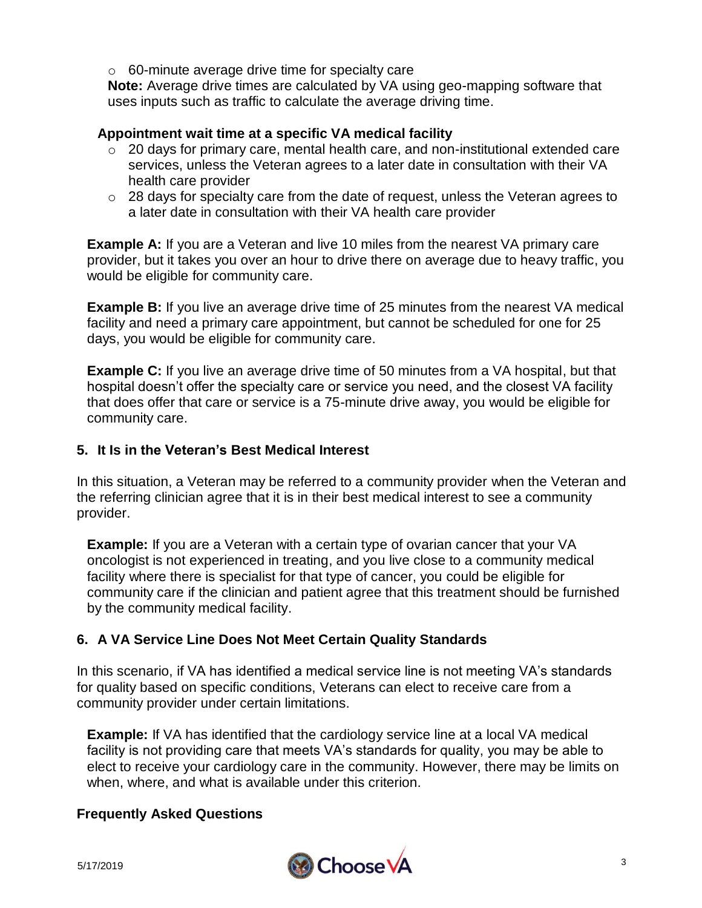o 60-minute average drive time for specialty care

**Note:** Average drive times are calculated by VA using geo-mapping software that uses inputs such as traffic to calculate the average driving time.

#### **Appointment wait time at a specific VA medical facility**

- o 20 days for primary care, mental health care, and non-institutional extended care services, unless the Veteran agrees to a later date in consultation with their VA health care provider
- o 28 days for specialty care from the date of request, unless the Veteran agrees to a later date in consultation with their VA health care provider

**Example A:** If you are a Veteran and live 10 miles from the nearest VA primary care provider, but it takes you over an hour to drive there on average due to heavy traffic, you would be eligible for community care.

**Example B:** If you live an average drive time of 25 minutes from the nearest VA medical facility and need a primary care appointment, but cannot be scheduled for one for 25 days, you would be eligible for community care.

**Example C:** If you live an average drive time of 50 minutes from a VA hospital, but that hospital doesn't offer the specialty care or service you need, and the closest VA facility that does offer that care or service is a 75-minute drive away, you would be eligible for community care.

### **5. It Is in the Veteran's Best Medical Interest**

In this situation, a Veteran may be referred to a community provider when the Veteran and the referring clinician agree that it is in their best medical interest to see a community provider.

**Example:** If you are a Veteran with a certain type of ovarian cancer that your VA oncologist is not experienced in treating, and you live close to a community medical facility where there is specialist for that type of cancer, you could be eligible for community care if the clinician and patient agree that this treatment should be furnished by the community medical facility.

## **6. A VA Service Line Does Not Meet Certain Quality Standards**

In this scenario, if VA has identified a medical service line is not meeting VA's standards for quality based on specific conditions, Veterans can elect to receive care from a community provider under certain limitations.

**Example:** If VA has identified that the cardiology service line at a local VA medical facility is not providing care that meets VA's standards for quality, you may be able to elect to receive your cardiology care in the community. However, there may be limits on when, where, and what is available under this criterion.

#### **Frequently Asked Questions**